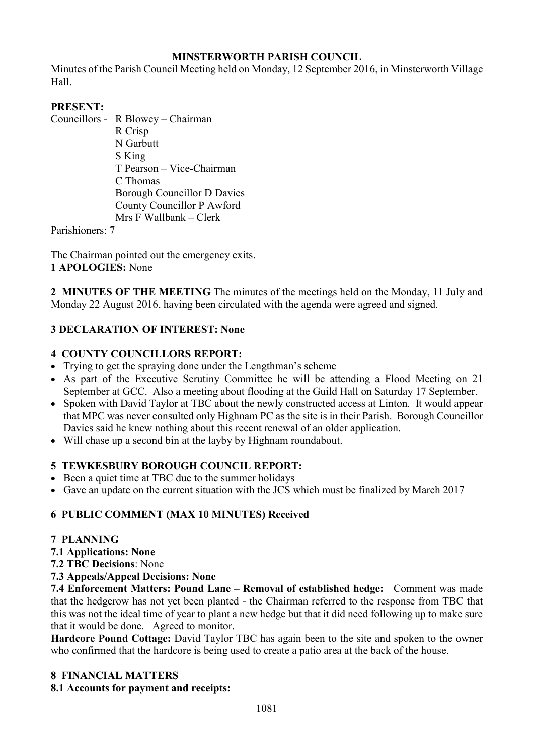# **MINSTERWORTH PARISH COUNCIL**

Minutes of the Parish Council Meeting held on Monday, 12 September 2016, in Minsterworth Village Hall.

### **PRESENT:**

Councillors - R Blowey – Chairman R Crisp N Garbutt S King T Pearson – Vice-Chairman C Thomas Borough Councillor D Davies County Councillor P Awford Mrs F Wallbank – Clerk

Parishioners: 7

The Chairman pointed out the emergency exits. **1 APOLOGIES:** None

**2 MINUTES OF THE MEETING** The minutes of the meetings held on the Monday, 11 July and Monday 22 August 2016, having been circulated with the agenda were agreed and signed.

## **3 DECLARATION OF INTEREST: None**

### **4 COUNTY COUNCILLORS REPORT:**

- Trying to get the spraying done under the Lengthman's scheme
- As part of the Executive Scrutiny Committee he will be attending a Flood Meeting on 21 September at GCC. Also a meeting about flooding at the Guild Hall on Saturday 17 September.
- Spoken with David Taylor at TBC about the newly constructed access at Linton. It would appear that MPC was never consulted only Highnam PC as the site is in their Parish. Borough Councillor Davies said he knew nothing about this recent renewal of an older application.
- Will chase up a second bin at the layby by Highnam roundabout.

#### **5 TEWKESBURY BOROUGH COUNCIL REPORT:**

- Been a quiet time at TBC due to the summer holidays
- Gave an update on the current situation with the JCS which must be finalized by March 2017

#### **6 PUBLIC COMMENT (MAX 10 MINUTES) Received**

#### **7 PLANNING**

- **7.1 Applications: None**
- **7.2 TBC Decisions**: None
- **7.3 Appeals/Appeal Decisions: None**

**7.4 Enforcement Matters: Pound Lane – Removal of established hedge:** Comment was made that the hedgerow has not yet been planted - the Chairman referred to the response from TBC that this was not the ideal time of year to plant a new hedge but that it did need following up to make sure that it would be done. Agreed to monitor.

**Hardcore Pound Cottage:** David Taylor TBC has again been to the site and spoken to the owner who confirmed that the hardcore is being used to create a patio area at the back of the house.

#### **8 FINANCIAL MATTERS**

#### **8.1 Accounts for payment and receipts:**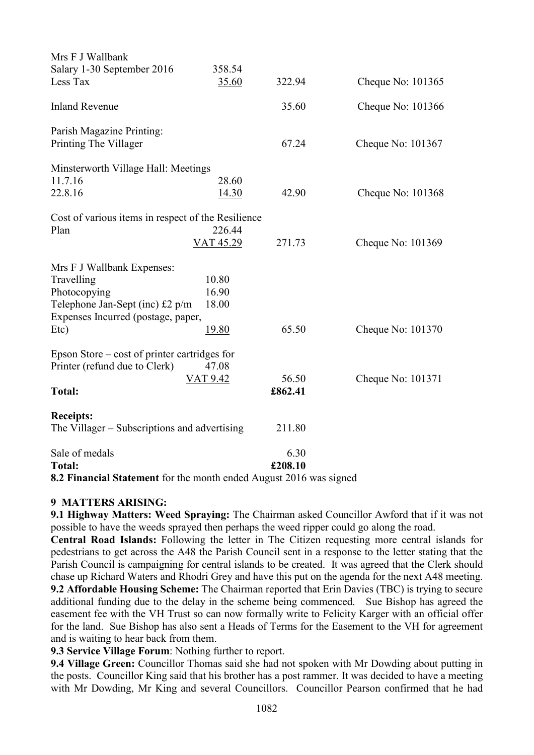| Mrs F J Wallbank                                   |              |                |                     |
|----------------------------------------------------|--------------|----------------|---------------------|
| Salary 1-30 September 2016                         | 358.54       |                |                     |
| Less Tax                                           | 35.60        | 322.94         | Cheque No: 101365   |
| <b>Inland Revenue</b>                              |              | 35.60          | Cheque No: 101366   |
| Parish Magazine Printing:                          |              |                |                     |
| Printing The Villager                              |              | 67.24          | Cheque No: 101367   |
| Minsterworth Village Hall: Meetings                |              |                |                     |
| 11.7.16                                            | 28.60        |                |                     |
| 22.8.16                                            | 14.30        | 42.90          | Cheque No: $101368$ |
| Cost of various items in respect of the Resilience |              |                |                     |
| Plan                                               | 226.44       |                |                     |
|                                                    | VAT 45.29    | 271.73         | Cheque No: 101369   |
| Mrs F J Wallbank Expenses:                         |              |                |                     |
| Travelling                                         | 10.80        |                |                     |
| Photocopying                                       | 16.90        |                |                     |
| Telephone Jan-Sept (inc) £2 p/m                    | 18.00        |                |                     |
| Expenses Incurred (postage, paper,                 |              |                |                     |
| Etc)                                               | <u>19.80</u> | 65.50          | Cheque No: 101370   |
| Epson Store – cost of printer cartridges for       |              |                |                     |
| Printer (refund due to Clerk)                      | 47.08        |                |                     |
|                                                    | VAT 9.42     | 56.50          | Cheque No: 101371   |
| <b>Total:</b>                                      |              | £862.41        |                     |
| <b>Receipts:</b>                                   |              |                |                     |
| The Villager – Subscriptions and advertising       |              | 211.80         |                     |
| Sale of medals                                     |              | 6.30           |                     |
| <b>Total:</b>                                      |              | £208.10        |                     |
| $0.2 E^*$ $1.011$ $1.011$ $1.111$                  |              | $0.016 \t\t 1$ |                     |

**8.2 Financial Statement** for the month ended August 2016 was signed

#### **9 MATTERS ARISING:**

**9.1 Highway Matters: Weed Spraying:** The Chairman asked Councillor Awford that if it was not possible to have the weeds sprayed then perhaps the weed ripper could go along the road.

**Central Road Islands:** Following the letter in The Citizen requesting more central islands for pedestrians to get across the A48 the Parish Council sent in a response to the letter stating that the Parish Council is campaigning for central islands to be created. It was agreed that the Clerk should chase up Richard Waters and Rhodri Grey and have this put on the agenda for the next A48 meeting. **9.2 Affordable Housing Scheme:** The Chairman reported that Erin Davies (TBC) is trying to secure

additional funding due to the delay in the scheme being commenced. Sue Bishop has agreed the easement fee with the VH Trust so can now formally write to Felicity Karger with an official offer for the land. Sue Bishop has also sent a Heads of Terms for the Easement to the VH for agreement and is waiting to hear back from them.

**9.3 Service Village Forum**: Nothing further to report.

**9.4 Village Green:** Councillor Thomas said she had not spoken with Mr Dowding about putting in the posts. Councillor King said that his brother has a post rammer. It was decided to have a meeting with Mr Dowding, Mr King and several Councillors. Councillor Pearson confirmed that he had